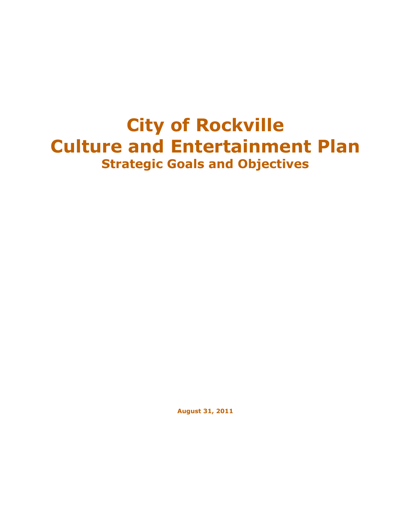# **City of Rockville Culture and Entertainment Plan Strategic Goals and Objectives**

**August 31, 2011**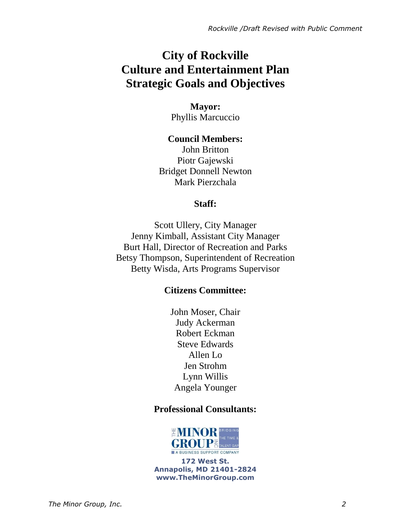## **City of Rockville Culture and Entertainment Plan Strategic Goals and Objectives**

## **Mayor:** Phyllis Marcuccio

**Council Members:** John Britton Piotr Gajewski Bridget Donnell Newton Mark Pierzchala

## **Staff:**

Scott Ullery, City Manager Jenny Kimball, Assistant City Manager Burt Hall, Director of Recreation and Parks Betsy Thompson, Superintendent of Recreation Betty Wisda, Arts Programs Supervisor

## **Citizens Committee:**

John Moser, Chair Judy Ackerman Robert Eckman Steve Edwards Allen Lo Jen Strohm Lynn Willis Angela Younger

## **Professional Consultants:**



**172 West St. Annapolis, MD 21401-2824 www.TheMinorGroup.com**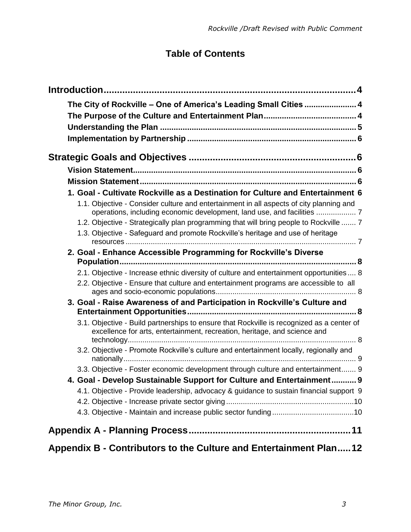## **Table of Contents**

| The City of Rockville - One of America's Leading Small Cities  4                                                                                                       |  |
|------------------------------------------------------------------------------------------------------------------------------------------------------------------------|--|
|                                                                                                                                                                        |  |
|                                                                                                                                                                        |  |
|                                                                                                                                                                        |  |
|                                                                                                                                                                        |  |
|                                                                                                                                                                        |  |
|                                                                                                                                                                        |  |
| 1. Goal - Cultivate Rockville as a Destination for Culture and Entertainment 6                                                                                         |  |
| 1.1. Objective - Consider culture and entertainment in all aspects of city planning and                                                                                |  |
| 1.2. Objective - Strategically plan programming that will bring people to Rockville  7                                                                                 |  |
| 1.3. Objective - Safeguard and promote Rockville's heritage and use of heritage                                                                                        |  |
|                                                                                                                                                                        |  |
| 2. Goal - Enhance Accessible Programming for Rockville's Diverse                                                                                                       |  |
| 2.1. Objective - Increase ethnic diversity of culture and entertainment opportunities  8                                                                               |  |
| 2.2. Objective - Ensure that culture and entertainment programs are accessible to all                                                                                  |  |
| 3. Goal - Raise Awareness of and Participation in Rockville's Culture and                                                                                              |  |
| 3.1. Objective - Build partnerships to ensure that Rockville is recognized as a center of<br>excellence for arts, entertainment, recreation, heritage, and science and |  |
| 3.2. Objective - Promote Rockville's culture and entertainment locally, regionally and                                                                                 |  |
| 3.3. Objective - Foster economic development through culture and entertainment 9                                                                                       |  |
| 4. Goal - Develop Sustainable Support for Culture and Entertainment 9                                                                                                  |  |
| 4.1. Objective - Provide leadership, advocacy & guidance to sustain financial support 9                                                                                |  |
|                                                                                                                                                                        |  |
|                                                                                                                                                                        |  |
|                                                                                                                                                                        |  |
| Appendix B - Contributors to the Culture and Entertainment Plan12                                                                                                      |  |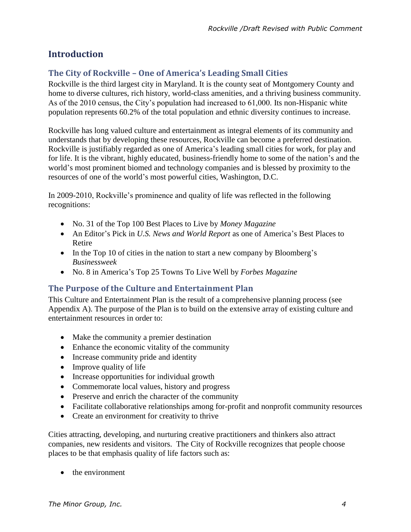## <span id="page-3-2"></span>**Introduction**

## <span id="page-3-0"></span>**The City of Rockville – One of America's Leading Small Cities**

Rockville is the third largest city in Maryland. It is the county seat of Montgomery County and home to diverse cultures, rich history, world-class amenities, and a thriving business community. As of the 2010 census, the City's population had increased to 61,000. Its non-Hispanic white population represents 60.2% of the total population and ethnic diversity continues to increase.

Rockville has long valued culture and entertainment as integral elements of its community and understands that by developing these resources, Rockville can become a preferred destination. Rockville is justifiably regarded as one of America's leading small cities for work, for play and for life. It is the vibrant, highly educated, business-friendly home to some of the nation's and the world's most prominent biomed and technology companies and is blessed by proximity to the resources of one of the world's most powerful cities, Washington, D.C.

In 2009-2010, Rockville's prominence and quality of life was reflected in the following recognitions:

- No. 31 of the Top 100 Best Places to Live by *Money Magazine*
- An Editor's Pick in *U.S. News and World Report* as one of America's Best Places to Retire
- In the Top 10 of cities in the nation to start a new company by Bloomberg's *Businessweek*
- No. 8 in America's Top 25 Towns To Live Well by *Forbes Magazine*

## <span id="page-3-1"></span>**The Purpose of the Culture and Entertainment Plan**

This Culture and Entertainment Plan is the result of a comprehensive planning process (see Appendix A). The purpose of the Plan is to build on the extensive array of existing culture and entertainment resources in order to:

- Make the community a premier destination
- Enhance the economic vitality of the community
- Increase community pride and identity
- Improve quality of life
- Increase opportunities for individual growth
- Commemorate local values, history and progress
- Preserve and enrich the character of the community
- Facilitate collaborative relationships among for-profit and nonprofit community resources
- Create an environment for creativity to thrive

Cities attracting, developing, and nurturing creative practitioners and thinkers also attract companies, new residents and visitors. The City of Rockville recognizes that people choose places to be that emphasis quality of life factors such as:

• the environment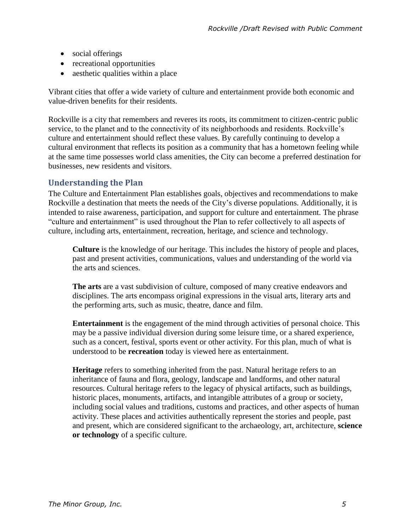- social offerings
- recreational opportunities
- aesthetic qualities within a place

Vibrant cities that offer a wide variety of culture and entertainment provide both economic and value-driven benefits for their residents.

Rockville is a city that remembers and reveres its roots, its commitment to citizen-centric public service, to the planet and to the connectivity of its neighborhoods and residents. Rockville's culture and entertainment should reflect these values. By carefully continuing to develop a cultural environment that reflects its position as a community that has a hometown feeling while at the same time possesses world class amenities, the City can become a preferred destination for businesses, new residents and visitors.

## <span id="page-4-0"></span>**Understanding the Plan**

The Culture and Entertainment Plan establishes goals, objectives and recommendations to make Rockville a destination that meets the needs of the City's diverse populations. Additionally, it is intended to raise awareness, participation, and support for culture and entertainment. The phrase "culture and entertainment" is used throughout the Plan to refer collectively to all aspects of culture, including arts, entertainment, recreation, heritage, and science and technology.

**Culture** is the knowledge of our heritage. This includes the history of people and places, past and present activities, communications, values and understanding of the world via the arts and sciences.

**The arts** are a vast subdivision of culture, composed of many creative endeavors and disciplines. The arts encompass original expressions in the visual arts, literary arts and the performing arts, such as music, theatre, dance and film.

**Entertainment** is the engagement of the mind through activities of personal choice. This may be a passive individual diversion during some leisure time, or a shared experience, such as a concert, festival, sports event or other activity. For this plan, much of what is understood to be **recreation** today is viewed here as entertainment.

**Heritage** refers to something inherited from the past. Natural heritage refers to an inheritance of fauna and flora, geology, landscape and landforms, and other natural resources. Cultural heritage refers to the legacy of physical artifacts, such as buildings, historic places, monuments, artifacts, and intangible attributes of a group or society, including social values and traditions, customs and practices, and other aspects of human activity. These places and activities authentically represent the stories and people, past and present, which are considered significant to the archaeology, art, architecture, **science or technology** of a specific culture.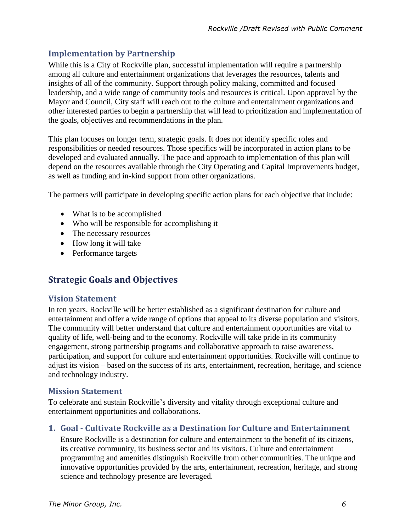## <span id="page-5-0"></span>**Implementation by Partnership**

While this is a City of Rockville plan, successful implementation will require a partnership among all culture and entertainment organizations that leverages the resources, talents and insights of all of the community. Support through policy making, committed and focused leadership, and a wide range of community tools and resources is critical. Upon approval by the Mayor and Council, City staff will reach out to the culture and entertainment organizations and other interested parties to begin a partnership that will lead to prioritization and implementation of the goals, objectives and recommendations in the plan.

This plan focuses on longer term, strategic goals. It does not identify specific roles and responsibilities or needed resources. Those specifics will be incorporated in action plans to be developed and evaluated annually. The pace and approach to implementation of this plan will depend on the resources available through the City Operating and Capital Improvements budget, as well as funding and in-kind support from other organizations.

The partners will participate in developing specific action plans for each objective that include:

- What is to be accomplished
- Who will be responsible for accomplishing it
- The necessary resources
- How long it will take
- <span id="page-5-4"></span>• Performance targets

## **Strategic Goals and Objectives**

## <span id="page-5-1"></span>**Vision Statement**

In ten years, Rockville will be better established as a significant destination for culture and entertainment and offer a wide range of options that appeal to its diverse population and visitors. The community will better understand that culture and entertainment opportunities are vital to quality of life, well-being and to the economy. Rockville will take pride in its community engagement, strong partnership programs and collaborative approach to raise awareness, participation, and support for culture and entertainment opportunities. Rockville will continue to adjust its vision – based on the success of its arts, entertainment, recreation, heritage, and science and technology industry.

## <span id="page-5-2"></span>**Mission Statement**

To celebrate and sustain Rockville's diversity and vitality through exceptional culture and entertainment opportunities and collaborations.

## <span id="page-5-3"></span>**1. Goal - Cultivate Rockville as a Destination for Culture and Entertainment**

Ensure Rockville is a destination for culture and entertainment to the benefit of its citizens, its creative community, its business sector and its visitors. Culture and entertainment programming and amenities distinguish Rockville from other communities. The unique and innovative opportunities provided by the arts, entertainment, recreation, heritage, and strong science and technology presence are leveraged.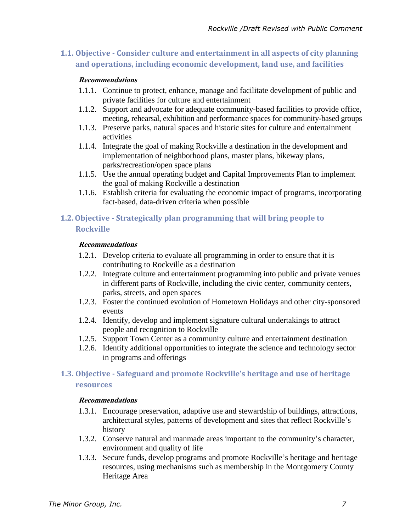## <span id="page-6-0"></span>**1.1. Objective - Consider culture and entertainment in all aspects of city planning and operations, including economic development, land use, and facilities**

#### **Recommendations**

- 1.1.1. Continue to protect, enhance, manage and facilitate development of public and private facilities for culture and entertainment
- 1.1.2. Support and advocate for adequate community-based facilities to provide office, meeting, rehearsal, exhibition and performance spaces for community-based groups
- 1.1.3. Preserve parks, natural spaces and historic sites for culture and entertainment activities
- 1.1.4. Integrate the goal of making Rockville a destination in the development and implementation of neighborhood plans, master plans, bikeway plans, parks/recreation/open space plans
- 1.1.5. Use the annual operating budget and Capital Improvements Plan to implement the goal of making Rockville a destination
- 1.1.6. Establish criteria for evaluating the economic impact of programs, incorporating fact-based, data-driven criteria when possible

## <span id="page-6-1"></span>**1.2.Objective - Strategically plan programming that will bring people to Rockville**

#### **Recommendations**

- 1.2.1. Develop criteria to evaluate all programming in order to ensure that it is contributing to Rockville as a destination
- 1.2.2. Integrate culture and entertainment programming into public and private venues in different parts of Rockville, including the civic center, community centers, parks, streets, and open spaces
- 1.2.3. Foster the continued evolution of Hometown Holidays and other city-sponsored events
- 1.2.4. Identify, develop and implement signature cultural undertakings to attract people and recognition to Rockville
- 1.2.5. Support Town Center as a community culture and entertainment destination
- 1.2.6. Identify additional opportunities to integrate the science and technology sector in programs and offerings

## <span id="page-6-2"></span>**1.3. Objective - Safeguard and promote Rockville's heritage and use of heritage resources**

#### **Recommendations**

- 1.3.1. Encourage preservation, adaptive use and stewardship of buildings, attractions, architectural styles, patterns of development and sites that reflect Rockville's history
- 1.3.2. Conserve natural and manmade areas important to the community's character, environment and quality of life
- 1.3.3. Secure funds, develop programs and promote Rockville's heritage and heritage resources, using mechanisms such as membership in the Montgomery County Heritage Area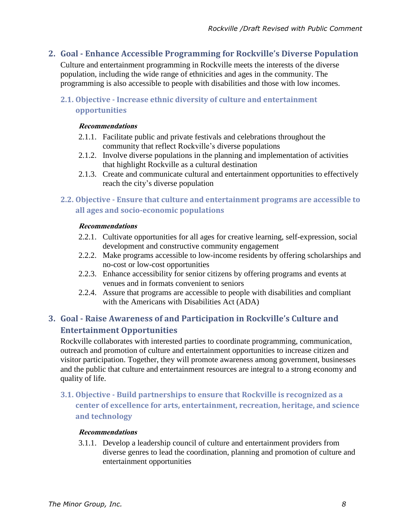## <span id="page-7-0"></span>**2. Goal - Enhance Accessible Programming for Rockville's Diverse Population**

Culture and entertainment programming in Rockville meets the interests of the diverse population, including the wide range of ethnicities and ages in the community. The programming is also accessible to people with disabilities and those with low incomes.

## <span id="page-7-1"></span>**2.1. Objective - Increase ethnic diversity of culture and entertainment opportunities**

#### **Recommendations**

- 2.1.1. Facilitate public and private festivals and celebrations throughout the community that reflect Rockville's diverse populations
- 2.1.2. Involve diverse populations in the planning and implementation of activities that highlight Rockville as a cultural destination
- 2.1.3. Create and communicate cultural and entertainment opportunities to effectively reach the city's diverse population

## <span id="page-7-2"></span>**2.2. Objective - Ensure that culture and entertainment programs are accessible to all ages and socio-economic populations**

#### **Recommendations**

- 2.2.1. Cultivate opportunities for all ages for creative learning, self-expression, social development and constructive community engagement
- 2.2.2. Make programs accessible to low-income residents by offering scholarships and no-cost or low-cost opportunities
- 2.2.3. Enhance accessibility for senior citizens by offering programs and events at venues and in formats convenient to seniors
- 2.2.4. Assure that programs are accessible to people with disabilities and compliant with the Americans with Disabilities Act (ADA)

## <span id="page-7-3"></span>**3. Goal - Raise Awareness of and Participation in Rockville's Culture and Entertainment Opportunities**

Rockville collaborates with interested parties to coordinate programming, communication, outreach and promotion of culture and entertainment opportunities to increase citizen and visitor participation. Together, they will promote awareness among government, businesses and the public that culture and entertainment resources are integral to a strong economy and quality of life.

<span id="page-7-4"></span>**3.1. Objective - Build partnerships to ensure that Rockville is recognized as a center of excellence for arts, entertainment, recreation, heritage, and science and technology**

## **Recommendations**

3.1.1. Develop a leadership council of culture and entertainment providers from diverse genres to lead the coordination, planning and promotion of culture and entertainment opportunities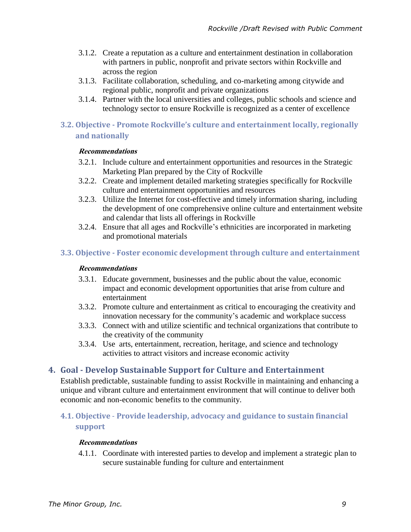- 3.1.2. Create a reputation as a culture and entertainment destination in collaboration with partners in public, nonprofit and private sectors within Rockville and across the region
- 3.1.3. Facilitate collaboration, scheduling, and co-marketing among citywide and regional public, nonprofit and private organizations
- 3.1.4. Partner with the local universities and colleges, public schools and science and technology sector to ensure Rockville is recognized as a center of excellence

## <span id="page-8-0"></span>**3.2. Objective - Promote Rockville's culture and entertainment locally, regionally and nationally**

#### **Recommendations**

- 3.2.1. Include culture and entertainment opportunities and resources in the Strategic Marketing Plan prepared by the City of Rockville
- 3.2.2. Create and implement detailed marketing strategies specifically for Rockville culture and entertainment opportunities and resources
- 3.2.3. Utilize the Internet for cost-effective and timely information sharing, including the development of one comprehensive online culture and entertainment website and calendar that lists all offerings in Rockville
- 3.2.4. Ensure that all ages and Rockville's ethnicities are incorporated in marketing and promotional materials

## <span id="page-8-1"></span>**3.3. Objective - Foster economic development through culture and entertainment**

#### **Recommendations**

- 3.3.1. Educate government, businesses and the public about the value, economic impact and economic development opportunities that arise from culture and entertainment
- 3.3.2. Promote culture and entertainment as critical to encouraging the creativity and innovation necessary for the community's academic and workplace success
- 3.3.3. Connect with and utilize scientific and technical organizations that contribute to the creativity of the community
- 3.3.4. Use arts, entertainment, recreation, heritage, and science and technology activities to attract visitors and increase economic activity

## <span id="page-8-2"></span>**4. Goal - Develop Sustainable Support for Culture and Entertainment**

Establish predictable, sustainable funding to assist Rockville in maintaining and enhancing a unique and vibrant culture and entertainment environment that will continue to deliver both economic and non-economic benefits to the community.

## <span id="page-8-3"></span>**4.1. Objective** - **Provide leadership, advocacy and guidance to sustain financial support**

## **Recommendations**

4.1.1. Coordinate with interested parties to develop and implement a strategic plan to secure sustainable funding for culture and entertainment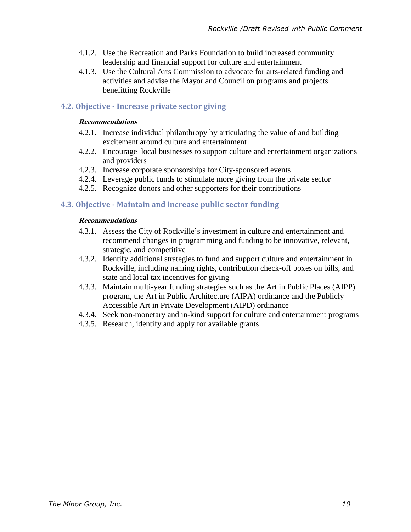- 4.1.2. Use the Recreation and Parks Foundation to build increased community leadership and financial support for culture and entertainment
- 4.1.3. Use the Cultural Arts Commission to advocate for arts-related funding and activities and advise the Mayor and Council on programs and projects benefitting Rockville

## <span id="page-9-0"></span>**4.2. Objective - Increase private sector giving**

#### **Recommendations**

- 4.2.1. Increase individual philanthropy by articulating the value of and building excitement around culture and entertainment
- 4.2.2. Encourage local businesses to support culture and entertainment organizations and providers
- 4.2.3. Increase corporate sponsorships for City-sponsored events
- 4.2.4. Leverage public funds to stimulate more giving from the private sector
- 4.2.5. Recognize donors and other supporters for their contributions

## <span id="page-9-1"></span>**4.3. Objective - Maintain and increase public sector funding**

#### **Recommendations**

- 4.3.1. Assess the City of Rockville's investment in culture and entertainment and recommend changes in programming and funding to be innovative, relevant, strategic, and competitive
- 4.3.2. Identify additional strategies to fund and support culture and entertainment in Rockville, including naming rights, contribution check-off boxes on bills, and state and local tax incentives for giving
- 4.3.3. Maintain multi-year funding strategies such as the Art in Public Places (AIPP) program, the Art in Public Architecture (AIPA) ordinance and the Publicly Accessible Art in Private Development (AIPD) ordinance
- 4.3.4. Seek non-monetary and in-kind support for culture and entertainment programs
- 4.3.5. Research, identify and apply for available grants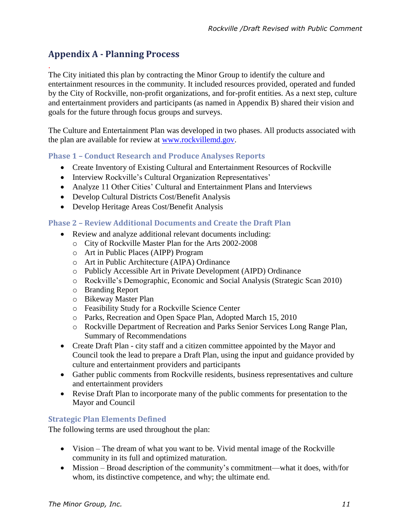## <span id="page-10-0"></span>**Appendix A - Planning Process**

.

The City initiated this plan by contracting the Minor Group to identify the culture and entertainment resources in the community. It included resources provided, operated and funded by the City of Rockville, non-profit organizations, and for-profit entities. As a next step, culture and entertainment providers and participants (as named in Appendix B) shared their vision and goals for the future through focus groups and surveys.

The Culture and Entertainment Plan was developed in two phases. All products associated with the plan are available for review at [www.rockvillemd.gov.](http://www.rockvillemd.gov/)

## **Phase 1 – Conduct Research and Produce Analyses Reports**

- Create Inventory of Existing Cultural and Entertainment Resources of Rockville
- Interview Rockville's Cultural Organization Representatives'
- Analyze 11 Other Cities' Cultural and Entertainment Plans and Interviews
- Develop Cultural Districts Cost/Benefit Analysis
- Develop Heritage Areas Cost/Benefit Analysis

## **Phase 2 – Review Additional Documents and Create the Draft Plan**

- Review and analyze additional relevant documents including:
	- o City of Rockville Master Plan for the Arts 2002-2008
	- o Art in Public Places (AIPP) Program
	- o Art in Public Architecture (AIPA) Ordinance
	- o Publicly Accessible Art in Private Development (AIPD) Ordinance
	- o Rockville's Demographic, Economic and Social Analysis (Strategic Scan 2010)
	- o Branding Report
	- o Bikeway Master Plan
	- o Feasibility Study for a Rockville Science Center
	- o Parks, Recreation and Open Space Plan, Adopted March 15, 2010
	- o Rockville Department of Recreation and Parks Senior Services Long Range Plan, Summary of Recommendations
- Create Draft Plan city staff and a citizen committee appointed by the Mayor and Council took the lead to prepare a Draft Plan, using the input and guidance provided by culture and entertainment providers and participants
- Gather public comments from Rockville residents, business representatives and culture and entertainment providers
- Revise Draft Plan to incorporate many of the public comments for presentation to the Mayor and Council

## **Strategic Plan Elements Defined**

The following terms are used throughout the plan:

- Vision The dream of what you want to be. Vivid mental image of the Rockville community in its full and optimized maturation.
- Mission Broad description of the community's commitment—what it does, with/for whom, its distinctive competence, and why; the ultimate end.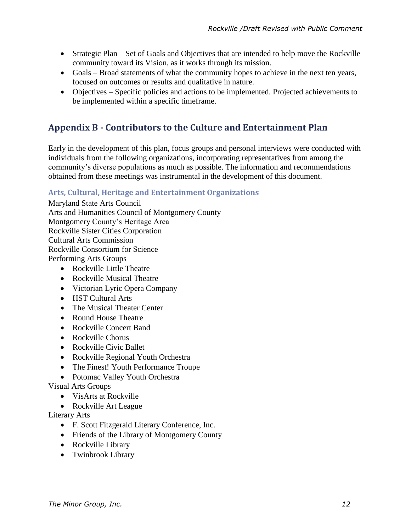- Strategic Plan Set of Goals and Objectives that are intended to help move the Rockville community toward its Vision, as it works through its mission.
- Goals Broad statements of what the community hopes to achieve in the next ten years, focused on outcomes or results and qualitative in nature.
- Objectives Specific policies and actions to be implemented. Projected achievements to be implemented within a specific timeframe.

## <span id="page-11-0"></span>**Appendix B - Contributors to the Culture and Entertainment Plan**

Early in the development of this plan, focus groups and personal interviews were conducted with individuals from the following organizations, incorporating representatives from among the community's diverse populations as much as possible. The information and recommendations obtained from these meetings was instrumental in the development of this document.

## **Arts, Cultural, Heritage and Entertainment Organizations**

Maryland State Arts Council Arts and Humanities Council of Montgomery County Montgomery County's Heritage Area Rockville Sister Cities Corporation Cultural Arts Commission Rockville Consortium for Science Performing Arts Groups

- Rockville Little Theatre
- Rockville Musical Theatre
- Victorian Lyric Opera Company
- HST Cultural Arts
- The Musical Theater Center
- Round House Theatre
- Rockville Concert Band
- Rockville Chorus
- Rockville Civic Ballet
- Rockville Regional Youth Orchestra
- The Finest! Youth Performance Troupe
- Potomac Valley Youth Orchestra

## Visual Arts Groups

- VisArts at Rockville
- Rockville Art League

## Literary Arts

- F. Scott Fitzgerald Literary Conference, Inc.
- Friends of the Library of Montgomery County
- Rockville Library
- Twinbrook Library